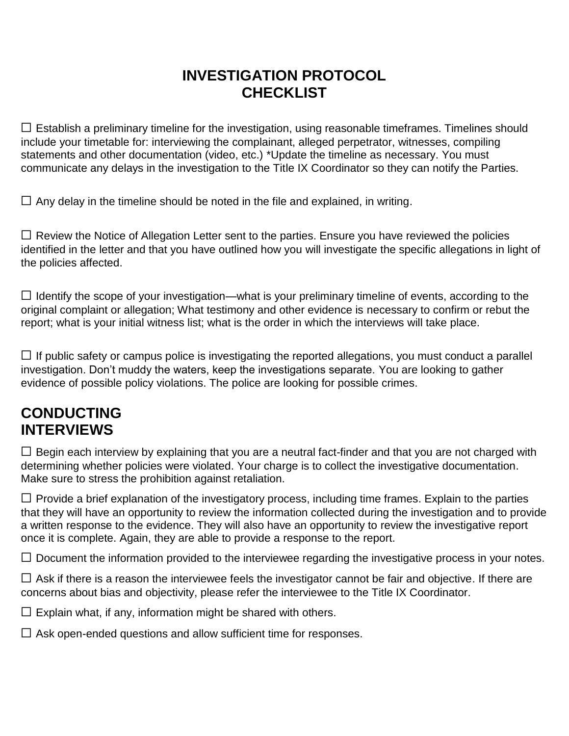## **INVESTIGATION PROTOCOL CHECKLIST**

 $\Box$  Establish a preliminary timeline for the investigation, using reasonable timeframes. Timelines should include your timetable for: interviewing the complainant, alleged perpetrator, witnesses, compiling statements and other documentation (video, etc.) \*Update the timeline as necessary. You must communicate any delays in the investigation to the Title IX Coordinator so they can notify the Parties.

 $\Box$  Any delay in the timeline should be noted in the file and explained, in writing.

□ Review the Notice of Allegation Letter sent to the parties. Ensure you have reviewed the policies identified in the letter and that you have outlined how you will investigate the specific allegations in light of the policies affected.

 ☐ Identify the scope of your investigation—what is your preliminary timeline of events, according to the original complaint or allegation; What testimony and other evidence is necessary to confirm or rebut the report; what is your initial witness list; what is the order in which the interviews will take place.

 $\Box$  If public safety or campus police is investigating the reported allegations, you must conduct a parallel investigation. Don't muddy the waters, keep the investigations separate. You are looking to gather evidence of possible policy violations. The police are looking for possible crimes.

## **CONDUCTING INTERVIEWS**

 $\Box$  Begin each interview by explaining that you are a neutral fact-finder and that you are not charged with determining whether policies were violated. Your charge is to collect the investigative documentation. Make sure to stress the prohibition against retaliation.

 $\Box$  Provide a brief explanation of the investigatory process, including time frames. Explain to the parties that they will have an opportunity to review the information collected during the investigation and to provide a written response to the evidence. They will also have an opportunity to review the investigative report once it is complete. Again, they are able to provide a response to the report.

 $\Box$  Document the information provided to the interviewee regarding the investigative process in your notes.

 concerns about bias and objectivity, please refer the interviewee to the Title IX Coordinator.  $\Box$  Ask if there is a reason the interviewee feels the investigator cannot be fair and objective. If there are

 $\Box$  Explain what, if any, information might be shared with others.

 $\Box$  Ask open-ended questions and allow sufficient time for responses.